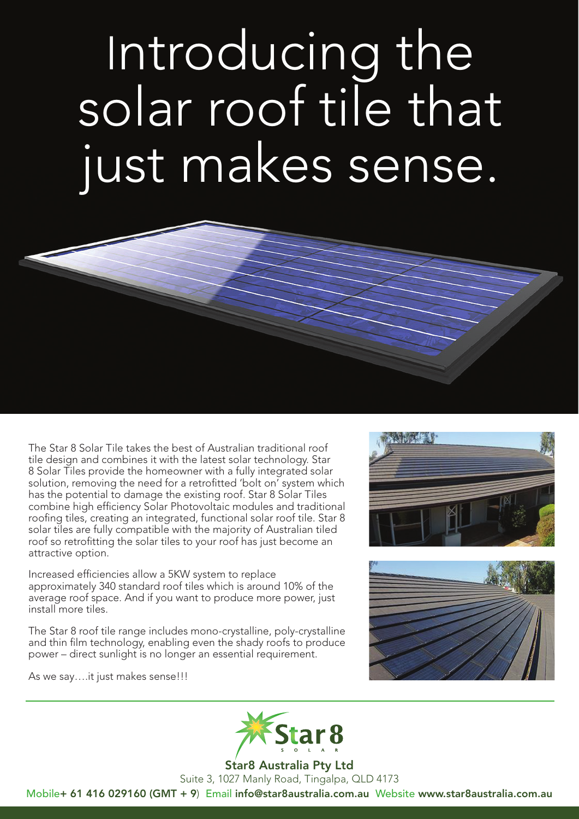Introducing the solar roof tile that just makes sense.



The Star 8 Solar Tile takes the best of Australian traditional roof tile design and combines it with the latest solar technology. Star 8 Solar Tiles provide the homeowner with a fully integrated solar solution, removing the need for a retrofitted 'bolt on' system which has the potential to damage the existing roof. Star 8 Solar Tiles combine high efficiency Solar Photovoltaic modules and traditional roofing tiles, creating an integrated, functional solar roof tile. Star 8 solar tiles are fully compatible with the majority of Australian tiled roof so retrofitting the solar tiles to your roof has just become an attractive option.

Increased efficiencies allow a 5KW system to replace approximately 340 standard roof tiles which is around 10% of the average roof space. And if you want to produce more power, just install more tiles.

The Star 8 roof tile range includes mono-crystalline, poly-crystalline and thin film technology, enabling even the shady roofs to produce power – direct sunlight is no longer an essential requirement.

As we say….it just makes sense!!!







Suite 3, 1027 Manly Road, Tingalpa, QLD 4173 Mobile+ 61 416 029160 (GMT + 9) Email info@star8australia.com.au Website www.star8australia.com.au